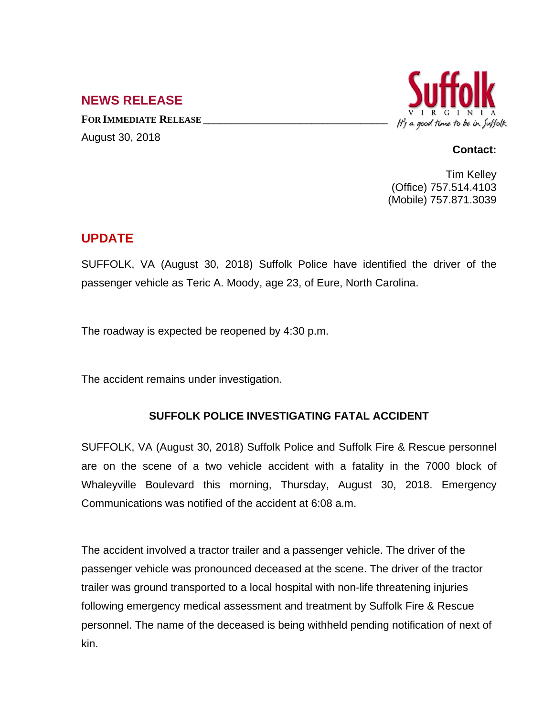## **NEWS RELEASE**

**FOR IMMEDIATE RELEASE \_\_\_\_\_\_\_\_\_\_\_\_\_\_\_\_\_\_\_\_\_\_\_\_\_\_\_\_\_\_\_\_\_\_** August 30, 2018



## **Contact:**

Tim Kelley (Office) 757.514.4103 (Mobile) 757.871.3039

## **UPDATE**

SUFFOLK, VA (August 30, 2018) Suffolk Police have identified the driver of the passenger vehicle as Teric A. Moody, age 23, of Eure, North Carolina.

The roadway is expected be reopened by 4:30 p.m.

The accident remains under investigation.

## **SUFFOLK POLICE INVESTIGATING FATAL ACCIDENT**

SUFFOLK, VA (August 30, 2018) Suffolk Police and Suffolk Fire & Rescue personnel are on the scene of a two vehicle accident with a fatality in the 7000 block of Whaleyville Boulevard this morning, Thursday, August 30, 2018. Emergency Communications was notified of the accident at 6:08 a.m.

The accident involved a tractor trailer and a passenger vehicle. The driver of the passenger vehicle was pronounced deceased at the scene. The driver of the tractor trailer was ground transported to a local hospital with non-life threatening injuries following emergency medical assessment and treatment by Suffolk Fire & Rescue personnel. The name of the deceased is being withheld pending notification of next of kin.